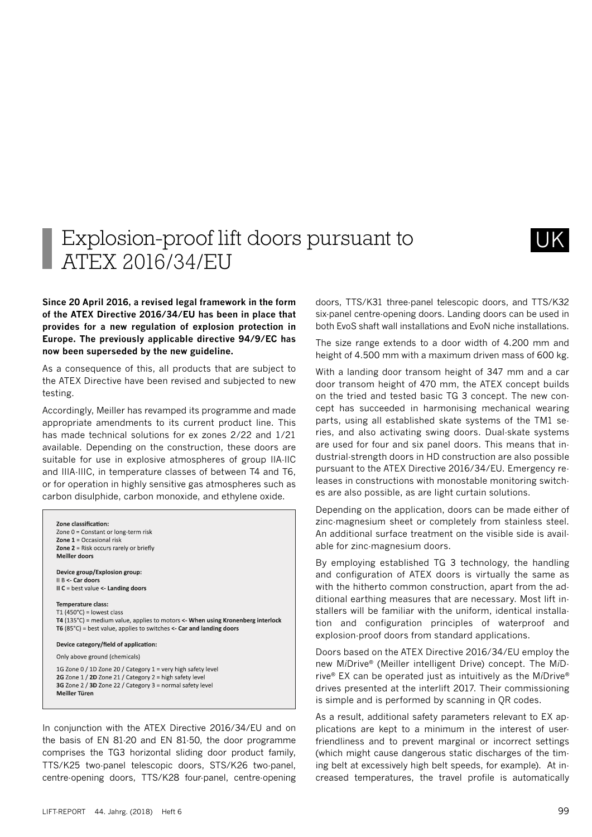## Explosion-proof lift doors pursuant to ATEX 2016/34/EU

**Since 20 April 2016, a revised legal framework in the form of the ATEX Directive 2016/34/EU has been in place that provides for a new regulation of explosion protection in Europe. The previously applicable directive 94/9/EC has now been superseded by the new guideline.** 

As a consequence of this, all products that are subject to the ATEX Directive have been revised and subjected to new testing.

Accordingly, Meiller has revamped its programme and made appropriate amendments to its current product line. This has made technical solutions for ex zones 2/22 and 1/21 available. Depending on the construction, these doors are suitable for use in explosive atmospheres of group IIA-IIC and IIIA-IIIC, in temperature classes of between T4 and T6, or for operation in highly sensitive gas atmospheres such as carbon disulphide, carbon monoxide, and ethylene oxide.

Zone classification: Zone 0 = Constant or long-term risk Zone  $1 =$  Occasional risk Zone  $2$  = Risk occurs rarely or briefly Meiller doors

Device group/Explosion group: II B <- Car doors II  $C = best$  value  $\le$ - Landing doors

Temperature class: T1 (450 $^{\circ}$ C) = lowest class T4 (135°C) = medium value, applies to motors <- When using Kronenberg interlock T6 (85 $^{\circ}$ C) = best value, applies to switches <- Car and landing doors

Device category/field of application:

Only above ground (chemicals)

1G Zone 0 / 1D Zone 20 / Category 1 = very high safety level 2G Zone 1 / 2D Zone 21 / Category 2 = high safety level 3G Zone 2 / 3D Zone 22 / Category 3 = normal safety level Meiller Türen

In conjunction with the ATEX Directive 2016/34/EU and on the basis of EN 81-20 and EN 81-50, the door programme comprises the TG3 horizontal sliding door product family, TTS/K25 two-panel telescopic doors, STS/K26 two-panel, centre-opening doors, TTS/K28 four-panel, centre-opening doors, TTS/K31 three-panel telescopic doors, and TTS/K32 six-panel centre-opening doors. Landing doors can be used in both EvoS shaft wall installations and EvoN niche installations.

The size range extends to a door width of 4.200 mm and height of 4.500 mm with a maximum driven mass of 600 kg.

With a landing door transom height of 347 mm and a car door transom height of 470 mm, the ATEX concept builds on the tried and tested basic TG 3 concept. The new concept has succeeded in harmonising mechanical wearing parts, using all established skate systems of the TM1 series, and also activating swing doors. Dual-skate systems are used for four and six panel doors. This means that industrial-strength doors in HD construction are also possible pursuant to the ATEX Directive 2016/34/EU. Emergency releases in constructions with monostable monitoring switches are also possible, as are light curtain solutions.

Depending on the application, doors can be made either of zinc-magnesium sheet or completely from stainless steel. An additional surface treatment on the visible side is available for zinc-magnesium doors.

By employing established TG 3 technology, the handling and configuration of ATEX doors is virtually the same as with the hitherto common construction, apart from the additional earthing measures that are necessary. Most lift installers will be familiar with the uniform, identical installation and configuration principles of waterproof and explosion-proof doors from standard applications.

Doors based on the ATEX Directive 2016/34/EU employ the new M*i*Drive® (Meiller intelligent Drive) concept. The M*i*Drive® EX can be operated just as intuitively as the M*i*Drive® drives presented at the interlift 2017. Their commissioning is simple and is performed by scanning in QR codes.

As a result, additional safety parameters relevant to EX applications are kept to a minimum in the interest of userfriendliness and to prevent marginal or incorrect settings (which might cause dangerous static discharges of the timing belt at excessively high belt speeds, for example). At increased temperatures, the travel profile is automatically